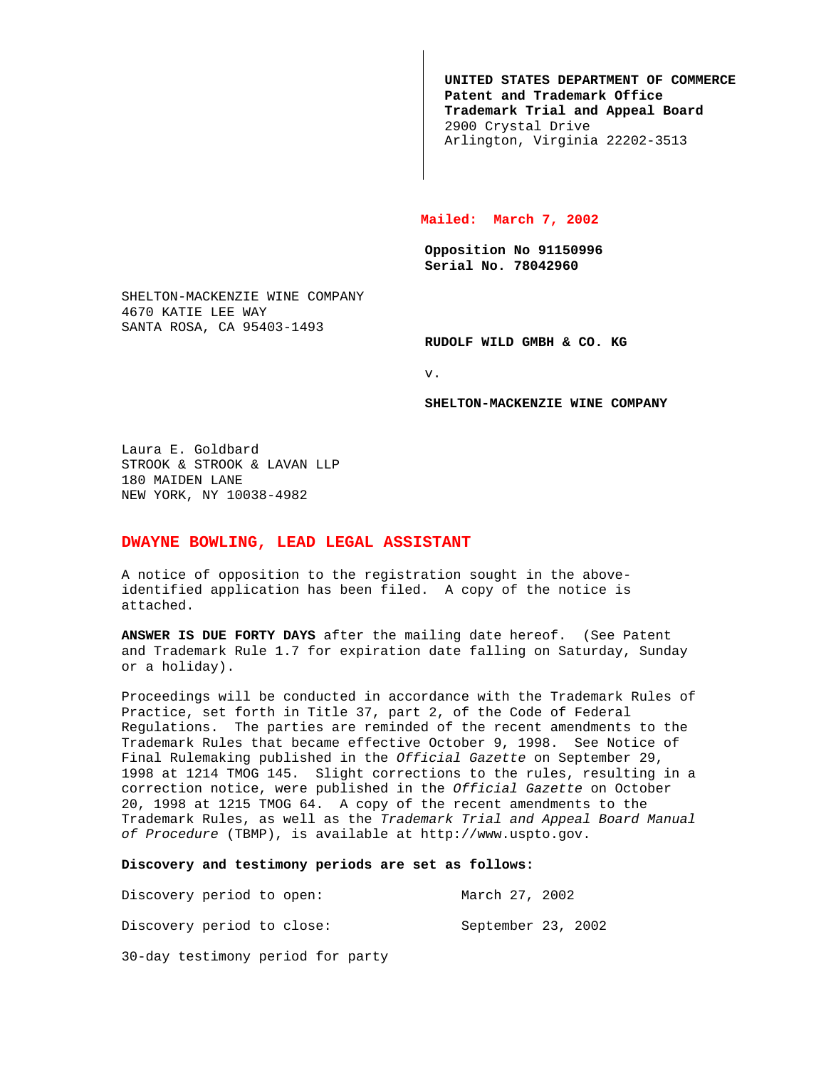**UNITED STATES DEPARTMENT OF COMMERCE Patent and Trademark Office Trademark Trial and Appeal Board** 2900 Crystal Drive Arlington, Virginia 22202-3513

## **Mailed: March 7, 2002**

**Opposition No 91150996 Serial No. 78042960**

SHELTON-MACKENZIE WINE COMPANY 4670 KATIE LEE WAY SANTA ROSA, CA 95403-1493

**RUDOLF WILD GMBH & CO. KG**

v.

## **SHELTON-MACKENZIE WINE COMPANY**

Laura E. Goldbard STROOK & STROOK & LAVAN LLP 180 MAIDEN LANE NEW YORK, NY 10038-4982

## **DWAYNE BOWLING, LEAD LEGAL ASSISTANT**

A notice of opposition to the registration sought in the aboveidentified application has been filed. A copy of the notice is attached.

**ANSWER IS DUE FORTY DAYS** after the mailing date hereof. (See Patent and Trademark Rule 1.7 for expiration date falling on Saturday, Sunday or a holiday).

Proceedings will be conducted in accordance with the Trademark Rules of Practice, set forth in Title 37, part 2, of the Code of Federal Regulations. The parties are reminded of the recent amendments to the Trademark Rules that became effective October 9, 1998. See Notice of Final Rulemaking published in the Official Gazette on September 29, 1998 at 1214 TMOG 145. Slight corrections to the rules, resulting in a correction notice, were published in the Official Gazette on October 20, 1998 at 1215 TMOG 64. A copy of the recent amendments to the Trademark Rules, as well as the Trademark Trial and Appeal Board Manual of Procedure (TBMP), is available at http://www.uspto.gov.

**Discovery and testimony periods are set as follows:**

| Discovery period to open:         | March 27, 2002     |  |
|-----------------------------------|--------------------|--|
| Discovery period to close:        | September 23, 2002 |  |
| 30-day testimony period for party |                    |  |